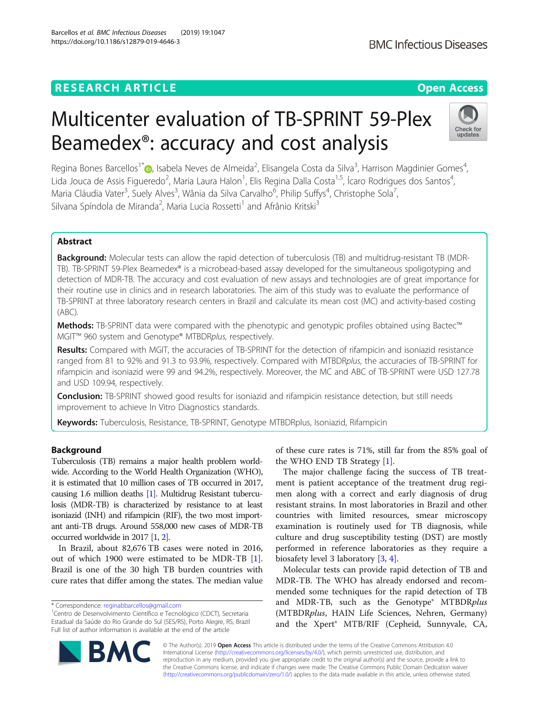# **RESEARCH ARTICLE Example 2014 CONSIDERING A RESEARCH ARTICLE**

# Multicenter evaluation of TB-SPRINT 59-Plex Beamedex®: accuracy and cost analysis

Regina Bones Barcellos<sup>1[\\*](http://orcid.org/0000-0003-0901-2422)</sup> D, Isabela Neves de Almeida<sup>2</sup>, Elisangela Costa da Silva<sup>3</sup>, Harrison Magdinier Gomes<sup>4</sup> , Lida Jouca de Assis Figueredo<sup>2</sup>, Maria Laura Halon<sup>1</sup>, Elis Regina Dalla Costa<sup>1,5</sup>, Ícaro Rodrigues dos Santos<sup>4</sup> , Maria Cláudia Vater<sup>3</sup>, Suely Alves<sup>3</sup>, Wânia da Silva Carvalho<sup>6</sup>, Philip Suffys<sup>4</sup>, Christophe Sola<sup>7</sup> , Silvana Spíndola de Miranda<sup>2</sup>, Maria Lucia Rossetti<sup>1</sup> and Afrânio Kritski<sup>3</sup>

# Abstract

**Background:** Molecular tests can allow the rapid detection of tuberculosis (TB) and multidrug-resistant TB (MDR-TB). TB-SPRINT 59-Plex Beamedex® is a microbead-based assay developed for the simultaneous spoligotyping and detection of MDR-TB. The accuracy and cost evaluation of new assays and technologies are of great importance for their routine use in clinics and in research laboratories. The aim of this study was to evaluate the performance of TB-SPRINT at three laboratory research centers in Brazil and calculate its mean cost (MC) and activity-based costing (ABC).

Methods: TB-SPRINT data were compared with the phenotypic and genotypic profiles obtained using Bactec™ MGIT™ 960 system and Genotype® MTBDRplus, respectively.

Results: Compared with MGIT, the accuracies of TB-SPRINT for the detection of rifampicin and isoniazid resistance ranged from 81 to 92% and 91.3 to 93.9%, respectively. Compared with MTBDRplus, the accuracies of TB-SPRINT for rifampicin and isoniazid were 99 and 94.2%, respectively. Moreover, the MC and ABC of TB-SPRINT were USD 127.78 and USD 109.94, respectively.

**Conclusion:** TB-SPRINT showed good results for isoniazid and rifampicin resistance detection, but still needs improvement to achieve In Vitro Diagnostics standards.

Keywords: Tuberculosis, Resistance, TB-SPRINT, Genotype MTBDRplus, Isoniazid, Rifampicin

# Background

Tuberculosis (TB) remains a major health problem worldwide. According to the World Health Organization (WHO), it is estimated that 10 million cases of TB occurred in 2017, causing 1.6 million deaths [[1](#page-6-0)]. Multidrug Resistant tuberculosis (MDR-TB) is characterized by resistance to at least isoniazid (INH) and rifampicin (RIF), the two most important anti-TB drugs. Around 558,000 new cases of MDR-TB occurred worldwide in 2017 [[1](#page-6-0), [2](#page-6-0)].

In Brazil, about 82,676 TB cases were noted in 2016, out of which 1900 were estimated to be MDR-TB [\[1](#page-6-0)]. Brazil is one of the 30 high TB burden countries with cure rates that differ among the states. The median value

\* Correspondence: [reginabbarcellos@gmail.com](mailto:reginabbarcellos@gmail.com) <sup>1</sup>

BA

Centro de Desenvolvimento Científico e Tecnológico (CDCT), Secretaria Estadual da Saúde do Rio Grande do Sul (SES/RS), Porto Alegre, RS, Brazil Full list of author information is available at the end of the article

> © The Author(s). 2019 Open Access This article is distributed under the terms of the Creative Commons Attribution 4.0 International License [\(http://creativecommons.org/licenses/by/4.0/](http://creativecommons.org/licenses/by/4.0/)), which permits unrestricted use, distribution, and reproduction in any medium, provided you give appropriate credit to the original author(s) and the source, provide a link to the Creative Commons license, and indicate if changes were made. The Creative Commons Public Domain Dedication waiver [\(http://creativecommons.org/publicdomain/zero/1.0/](http://creativecommons.org/publicdomain/zero/1.0/)) applies to the data made available in this article, unless otherwise stated.

of these cure rates is 71%, still far from the 85% goal of the WHO END TB Strategy [\[1\]](#page-6-0).

The major challenge facing the success of TB treatment is patient acceptance of the treatment drug regimen along with a correct and early diagnosis of drug resistant strains. In most laboratories in Brazil and other countries with limited resources, smear microscopy examination is routinely used for TB diagnosis, while culture and drug susceptibility testing (DST) are mostly performed in reference laboratories as they require a biosafety level 3 laboratory [\[3](#page-6-0), [4](#page-6-0)].

Molecular tests can provide rapid detection of TB and MDR-TB. The WHO has already endorsed and recommended some techniques for the rapid detection of TB and MDR-TB, such as the Genotype® MTBDRplus (MTBDRplus, HAIN Life Sciences, Nehren, Germany) and the Xpert® MTB/RIF (Cepheid, Sunnyvale, CA,



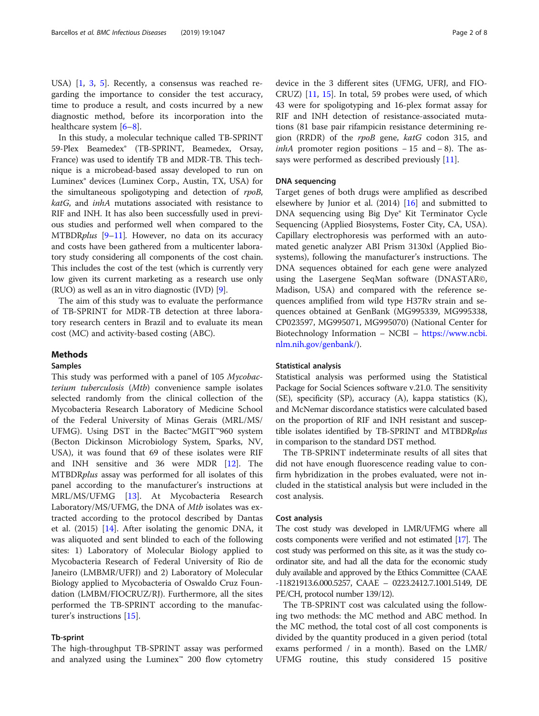USA) [[1,](#page-6-0) [3,](#page-6-0) [5](#page-6-0)]. Recently, a consensus was reached regarding the importance to consider the test accuracy, time to produce a result, and costs incurred by a new diagnostic method, before its incorporation into the healthcare system [\[6](#page-6-0)–[8](#page-6-0)].

In this study, a molecular technique called TB-SPRINT 59-Plex Beamedex® (TB-SPRINT, Beamedex, Orsay, France) was used to identify TB and MDR-TB. This technique is a microbead-based assay developed to run on Luminex® devices (Luminex Corp., Austin, TX, USA) for the simultaneous spoligotyping and detection of rpoB, katG, and inhA mutations associated with resistance to RIF and INH. It has also been successfully used in previous studies and performed well when compared to the MTBDRplus [\[9](#page-6-0)–[11\]](#page-6-0). However, no data on its accuracy and costs have been gathered from a multicenter laboratory study considering all components of the cost chain. This includes the cost of the test (which is currently very low given its current marketing as a research use only (RUO) as well as an in vitro diagnostic (IVD) [[9\]](#page-6-0).

The aim of this study was to evaluate the performance of TB-SPRINT for MDR-TB detection at three laboratory research centers in Brazil and to evaluate its mean cost (MC) and activity-based costing (ABC).

## Methods

## Samples

This study was performed with a panel of 105 Mycobacterium tuberculosis (Mtb) convenience sample isolates selected randomly from the clinical collection of the Mycobacteria Research Laboratory of Medicine School of the Federal University of Minas Gerais (MRL/MS/ UFMG). Using DST in the Bactec™MGIT™960 system (Becton Dickinson Microbiology System, Sparks, NV, USA), it was found that 69 of these isolates were RIF and INH sensitive and 36 were MDR [\[12\]](#page-6-0). The MTBDRplus assay was performed for all isolates of this panel according to the manufacturer's instructions at MRL/MS/UFMG [\[13](#page-6-0)]. At Mycobacteria Research Laboratory/MS/UFMG, the DNA of Mtb isolates was extracted according to the protocol described by Dantas et al. (2015) [[14\]](#page-6-0). After isolating the genomic DNA, it was aliquoted and sent blinded to each of the following sites: 1) Laboratory of Molecular Biology applied to Mycobacteria Research of Federal University of Rio de Janeiro (LMBMR/UFRJ) and 2) Laboratory of Molecular Biology applied to Mycobacteria of Oswaldo Cruz Foundation (LMBM/FIOCRUZ/RJ). Furthermore, all the sites performed the TB-SPRINT according to the manufacturer's instructions [\[15\]](#page-6-0).

# Tb-sprint

The high-throughput TB-SPRINT assay was performed and analyzed using the Luminex™ 200 flow cytometry

device in the 3 different sites (UFMG, UFRJ, and FIO-CRUZ) [[11](#page-6-0), [15\]](#page-6-0). In total, 59 probes were used, of which 43 were for spoligotyping and 16-plex format assay for RIF and INH detection of resistance-associated mutations (81 base pair rifampicin resistance determining region (RRDR) of the rpoB gene, katG codon 315, and  $inhA$  promoter region positions  $-15$  and  $-8$ ). The as-says were performed as described previously [\[11](#page-6-0)].

# DNA sequencing

Target genes of both drugs were amplified as described elsewhere by Junior et al. (2014) [\[16](#page-6-0)] and submitted to DNA sequencing using Big Dye® Kit Terminator Cycle Sequencing (Applied Biosystems, Foster City, CA, USA). Capillary electrophoresis was performed with an automated genetic analyzer ABI Prism 3130xl (Applied Biosystems), following the manufacturer's instructions. The DNA sequences obtained for each gene were analyzed using the Lasergene SeqMan software (DNASTAR©, Madison, USA) and compared with the reference sequences amplified from wild type H37Rv strain and sequences obtained at GenBank (MG995339, MG995338, CP023597, MG995071, MG995070) (National Center for Biotechnology Information – NCBI – [https://www.ncbi.](https://www.ncbi.nlm.nih.gov/genbank/) [nlm.nih.gov/genbank/](https://www.ncbi.nlm.nih.gov/genbank/)).

# Statistical analysis

Statistical analysis was performed using the Statistical Package for Social Sciences software v.21.0. The sensitivity (SE), specificity (SP), accuracy (A), kappa statistics (K), and McNemar discordance statistics were calculated based on the proportion of RIF and INH resistant and susceptible isolates identified by TB-SPRINT and MTBDRplus in comparison to the standard DST method.

The TB-SPRINT indeterminate results of all sites that did not have enough fluorescence reading value to confirm hybridization in the probes evaluated, were not included in the statistical analysis but were included in the cost analysis.

#### Cost analysis

The cost study was developed in LMR/UFMG where all costs components were verified and not estimated [\[17\]](#page-6-0). The cost study was performed on this site, as it was the study coordinator site, and had all the data for the economic study duly available and approved by the Ethics Committee (CAAE -11821913.6.000.5257, CAAE – 0223.2412.7.1001.5149, DE PE/CH, protocol number 139/12).

The TB-SPRINT cost was calculated using the following two methods: the MC method and ABC method. In the MC method, the total cost of all cost components is divided by the quantity produced in a given period (total exams performed / in a month). Based on the LMR/ UFMG routine, this study considered 15 positive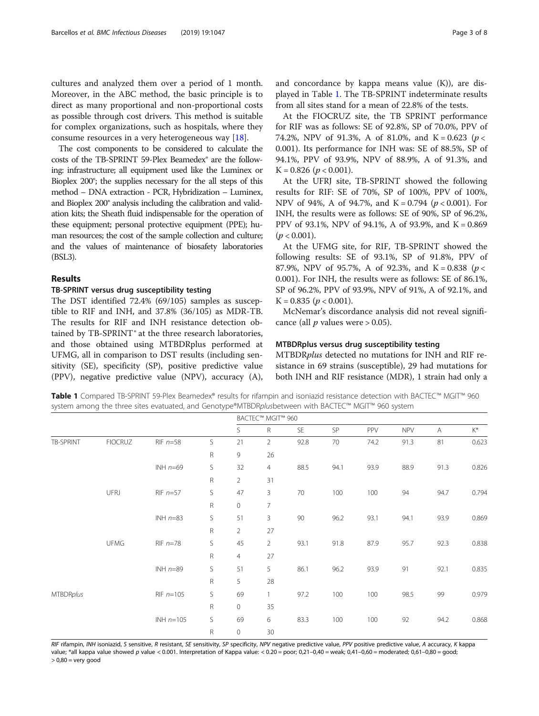cultures and analyzed them over a period of 1 month. Moreover, in the ABC method, the basic principle is to direct as many proportional and non-proportional costs as possible through cost drivers. This method is suitable for complex organizations, such as hospitals, where they consume resources in a very heterogeneous way [[18\]](#page-6-0).

The cost components to be considered to calculate the costs of the TB-SPRINT 59-Plex Beamedex® are the following: infrastructure; all equipment used like the Luminex or Bioplex 200®; the supplies necessary for the all steps of this method – DNA extraction - PCR, Hybridization – Luminex, and Bioplex 200® analysis including the calibration and validation kits; the Sheath fluid indispensable for the operation of these equipment; personal protective equipment (PPE); human resources; the cost of the sample collection and culture; and the values of maintenance of biosafety laboratories (BSL3).

#### Results

## TB-SPRINT versus drug susceptibility testing

The DST identified 72.4% (69/105) samples as susceptible to RIF and INH, and 37.8% (36/105) as MDR-TB. The results for RIF and INH resistance detection obtained by TB-SPRINT® at the three research laboratories, and those obtained using MTBDRplus performed at UFMG, all in comparison to DST results (including sensitivity (SE), specificity (SP), positive predictive value (PPV), negative predictive value (NPV), accuracy (A), and concordance by kappa means value (K)), are displayed in Table 1. The TB-SPRINT indeterminate results from all sites stand for a mean of 22.8% of the tests.

At the FIOCRUZ site, the TB SPRINT performance for RIF was as follows: SE of 92.8%, SP of 70.0%, PPV of 74.2%, NPV of 91.3%, A of 81.0%, and K = 0.623 ( $p <$ 0.001). Its performance for INH was: SE of 88.5%, SP of 94.1%, PPV of 93.9%, NPV of 88.9%, A of 91.3%, and  $K = 0.826$  ( $p < 0.001$ ).

At the UFRJ site, TB-SPRINT showed the following results for RIF: SE of 70%, SP of 100%, PPV of 100%, NPV of 94%, A of 94.7%, and  $K = 0.794$  ( $p < 0.001$ ). For INH, the results were as follows: SE of 90%, SP of 96.2%, PPV of 93.1%, NPV of 94.1%, A of 93.9%, and K = 0.869  $(p < 0.001)$ .

At the UFMG site, for RIF, TB-SPRINT showed the following results: SE of 93.1%, SP of 91.8%, PPV of 87.9%, NPV of 95.7%, A of 92.3%, and K = 0.838 ( $p <$ 0.001). For INH, the results were as follows: SE of 86.1%, SP of 96.2%, PPV of 93.9%, NPV of 91%, A of 92.1%, and  $K = 0.835$  ( $p < 0.001$ ).

McNemar's discordance analysis did not reveal significance (all  $p$  values were  $> 0.05$ ).

#### MTBDRplus versus drug susceptibility testing

MTBDRplus detected no mutations for INH and RIF resistance in 69 strains (susceptible), 29 had mutations for both INH and RIF resistance (MDR), 1 strain had only a

Table 1 Compared TB-SPRINT 59-Plex Beamedex® results for rifampin and isoniazid resistance detection with BACTEC™ MGIT™ 960 system among the three sites evatuated, and Genotype®MTBDRplusbetween with BACTEC™ MGIT™ 960 system BACTEC™ MGIT™ 960

|                  |                |              |              | S              | R              | SE.  | SP   | <b>PPV</b> | <b>NPV</b> | A    | $\mathsf{K}^{\mathsf{*}}$ |
|------------------|----------------|--------------|--------------|----------------|----------------|------|------|------------|------------|------|---------------------------|
| TB-SPRINT        | <b>FIOCRUZ</b> | $RIF n=58$   | S            | 21             | $\overline{2}$ | 92.8 | 70   | 74.2       | 91.3       | 81   | 0.623                     |
|                  |                |              | $\mathsf{R}$ | 9              | 26             |      |      |            |            |      |                           |
|                  |                | INH $n=69$   | S            | 32             | $\overline{4}$ | 88.5 | 94.1 | 93.9       | 88.9       | 91.3 | 0.826                     |
|                  |                |              | $\mathsf{R}$ | $\overline{2}$ | 31             |      |      |            |            |      |                           |
|                  | UFRJ           | $RIF$ $n=57$ | S            | 47             | 3              | 70   | 100  | 100        | 94         | 94.7 | 0.794                     |
|                  |                |              | $\mathsf R$  | $\circ$        | 7              |      |      |            |            |      |                           |
|                  |                | INH $n=83$   | S            | 51             | 3              | 90   | 96.2 | 93.1       | 94.1       | 93.9 | 0.869                     |
|                  |                |              | $\mathsf{R}$ | $\overline{2}$ | 27             |      |      |            |            |      |                           |
|                  | <b>UFMG</b>    | $RIF n=78$   | S            | 45             | 2              | 93.1 | 91.8 | 87.9       | 95.7       | 92.3 | 0.838                     |
|                  |                |              | R            | $\overline{4}$ | 27             |      |      |            |            |      |                           |
|                  |                | INH $n=89$   | S            | 51             | 5              | 86.1 | 96.2 | 93.9       | 91         | 92.1 | 0.835                     |
|                  |                |              | $\mathsf R$  | 5              | 28             |      |      |            |            |      |                           |
| <b>MTBDRplus</b> |                | RIF $n=105$  | S            | 69             | $\mathbf{1}$   | 97.2 | 100  | 100        | 98.5       | 99   | 0.979<br>0.868            |
|                  |                |              | $\mathsf R$  | $\circ$        | 35             |      |      |            |            |      |                           |
|                  |                | INH $n=105$  | S            | 69             | 6              | 83.3 | 100  | 100        | 92         | 94.2 |                           |
|                  |                |              | $\mathsf{R}$ | $\circ$        | 30             |      |      |            |            |      |                           |

RIF rifampin, INH isoniazid, S sensitive, R resistant, SE sensitivity, SP specificity, NPV negative predictive value, PPV positive predictive value, A accuracy, K kappa value; \*all kappa value showed p value < 0.001. Interpretation of Kappa value: < 0.20 = poor; 0,21–0,40 = weak; 0,41–0,60 = moderated; 0,61–0,80 = good;  $> 0,80 =$  very good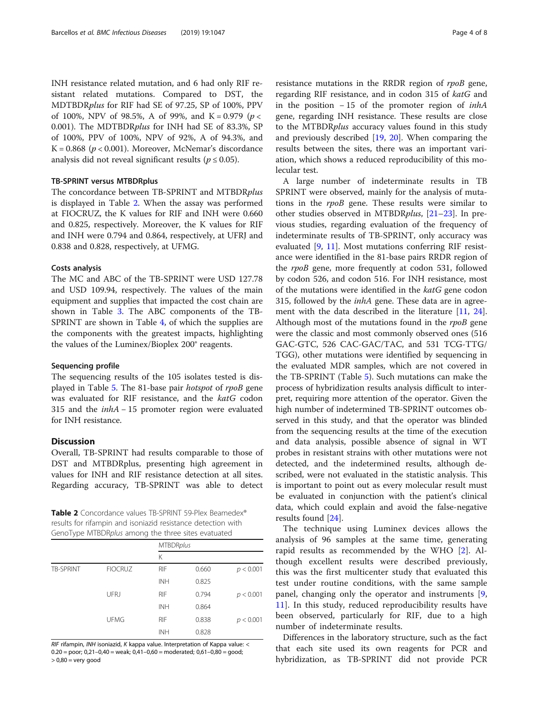INH resistance related mutation, and 6 had only RIF resistant related mutations. Compared to DST, the MDTBDRplus for RIF had SE of 97.25, SP of 100%, PPV of 100%, NPV of 98.5%, A of 99%, and K = 0.979 ( $p <$ 0.001). The MDTBDRplus for INH had SE of 83.3%, SP of 100%, PPV of 100%, NPV of 92%, A of 94.3%, and K =  $0.868$  ( $p < 0.001$ ). Moreover, McNemar's discordance analysis did not reveal significant results ( $p \le 0.05$ ).

## TB-SPRINT versus MTBDRplus

The concordance between TB-SPRINT and MTBDRplus is displayed in Table 2. When the assay was performed at FIOCRUZ, the K values for RIF and INH were 0.660 and 0.825, respectively. Moreover, the K values for RIF and INH were 0.794 and 0.864, respectively, at UFRJ and 0.838 and 0.828, respectively, at UFMG.

#### Costs analysis

The MC and ABC of the TB-SPRINT were USD 127.78 and USD 109.94, respectively. The values of the main equipment and supplies that impacted the cost chain are shown in Table [3.](#page-4-0) The ABC components of the TB-SPRINT are shown in Table [4,](#page-4-0) of which the supplies are the components with the greatest impacts, highlighting the values of the Luminex/Bioplex 200® reagents.

#### Sequencing profile

The sequencing results of the 105 isolates tested is displayed in Table [5](#page-5-0). The 81-base pair hotspot of rpoB gene was evaluated for RIF resistance, and the katG codon 315 and the inhA − 15 promoter region were evaluated for INH resistance.

# **Discussion**

Overall, TB-SPRINT had results comparable to those of DST and MTBDRplus, presenting high agreement in values for INH and RIF resistance detection at all sites. Regarding accuracy, TB-SPRINT was able to detect

Table 2 Concordance values TB-SPRINT 59-Plex Beamedex® results for rifampin and isoniazid resistance detection with GenoType MTBDRplus among the three sites evatuated

|           |                | <b>MTBDRplus</b> |       |           |
|-----------|----------------|------------------|-------|-----------|
|           |                | Κ                |       |           |
| TB-SPRINT | <b>FIOCRUZ</b> | <b>RIF</b>       | 0.660 | p < 0.001 |
|           |                | <b>INH</b>       | 0.825 |           |
|           | UFRJ           | <b>RIF</b>       | 0.794 | p < 0.001 |
|           |                | <b>INH</b>       | 0.864 |           |
|           | <b>UFMG</b>    | <b>RIF</b>       | 0.838 | p < 0.001 |
|           |                | <b>INH</b>       | 0.828 |           |

RIF rifampin, INH isoniazid, K kappa value. Interpretation of Kappa value: <  $0.20 =$  poor;  $0.21 - 0.40 =$  weak;  $0.41 - 0.60 =$  moderated;  $0.61 - 0.80 =$  good; > 0,80 = very good

resistance mutations in the RRDR region of rpoB gene, regarding RIF resistance, and in codon 315 of katG and in the position  $-15$  of the promoter region of *inhA* gene, regarding INH resistance. These results are close to the MTBDRplus accuracy values found in this study and previously described [[19](#page-6-0), [20](#page-6-0)]. When comparing the results between the sites, there was an important variation, which shows a reduced reproducibility of this molecular test.

A large number of indeterminate results in TB SPRINT were observed, mainly for the analysis of mutations in the rpoB gene. These results were similar to other studies observed in MTBDRplus, [[21](#page-7-0)–[23](#page-7-0)]. In previous studies, regarding evaluation of the frequency of indeterminate results of TB-SPRINT, only accuracy was evaluated [\[9,](#page-6-0) [11\]](#page-6-0). Most mutations conferring RIF resistance were identified in the 81-base pairs RRDR region of the rpoB gene, more frequently at codon 531, followed by codon 526, and codon 516. For INH resistance, most of the mutations were identified in the katG gene codon 315, followed by the *inhA* gene. These data are in agree-ment with the data described in the literature [\[11](#page-6-0), [24](#page-7-0)]. Although most of the mutations found in the rpoB gene were the classic and most commonly observed ones (516 GAC-GTC, 526 CAC-GAC/TAC, and 531 TCG-TTG/ TGG), other mutations were identified by sequencing in the evaluated MDR samples, which are not covered in the TB-SPRINT (Table [5\)](#page-5-0). Such mutations can make the process of hybridization results analysis difficult to interpret, requiring more attention of the operator. Given the high number of indetermined TB-SPRINT outcomes observed in this study, and that the operator was blinded from the sequencing results at the time of the execution and data analysis, possible absence of signal in WT probes in resistant strains with other mutations were not detected, and the indetermined results, although described, were not evaluated in the statistic analysis. This is important to point out as every molecular result must be evaluated in conjunction with the patient's clinical data, which could explain and avoid the false-negative results found [\[24](#page-7-0)].

The technique using Luminex devices allows the analysis of 96 samples at the same time, generating rapid results as recommended by the WHO [[2\]](#page-6-0). Although excellent results were described previously, this was the first multicenter study that evaluated this test under routine conditions, with the same sample panel, changing only the operator and instruments [\[9](#page-6-0), [11\]](#page-6-0). In this study, reduced reproducibility results have been observed, particularly for RIF, due to a high number of indeterminate results.

Differences in the laboratory structure, such as the fact that each site used its own reagents for PCR and hybridization, as TB-SPRINT did not provide PCR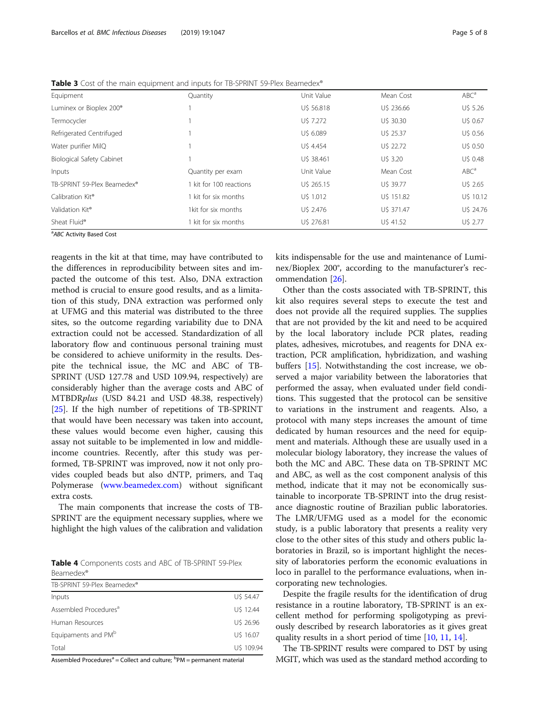| Equipment                           | Quantity                | Unit Value | Mean Cost  | ABC <sup>a</sup> |
|-------------------------------------|-------------------------|------------|------------|------------------|
| Luminex or Bioplex 200 <sup>®</sup> |                         | U\$ 56.818 | U\$ 236.66 | U\$ 5.26         |
| Termocycler                         |                         | U\$ 7.272  | U\$ 30.30  | U\$ 0.67         |
| Refrigerated Centrifuged            |                         | U\$ 6.089  | U\$ 25.37  | U\$ 0.56         |
| Water purifier MilQ                 |                         | U\$ 4.454  | U\$ 22.72  | U\$ 0.50         |
| <b>Biological Safety Cabinet</b>    |                         | U\$ 38.461 | U\$ 3.20   | U\$ 0.48         |
| Inputs                              | Quantity per exam       | Unit Value | Mean Cost  | ABC <sup>a</sup> |
| TB-SPRINT 59-Plex Beamedex®         | 1 kit for 100 reactions | U\$ 265.15 | U\$ 39.77  | U\$ 2.65         |
| Calibration Kit <sup>®</sup>        | 1 kit for six months    | U\$ 1.012  | U\$ 151.82 | U\$ 10.12        |
| Validation Kit <sup>®</sup>         | 1kit for six months     | U\$ 2.476  | U\$ 371.47 | U\$ 24.76        |
| Sheat Fluid®                        | 1 kit for six months    | U\$ 276.81 | U\$ 41.52  | U\$ 2.77         |
|                                     |                         |            |            |                  |

<span id="page-4-0"></span>Table 3 Cost of the main equipment and inputs for TB-SPRINT 59-Plex Beamedex®

<sup>a</sup>ABC Activity Based Cost

reagents in the kit at that time, may have contributed to the differences in reproducibility between sites and impacted the outcome of this test. Also, DNA extraction method is crucial to ensure good results, and as a limitation of this study, DNA extraction was performed only at UFMG and this material was distributed to the three sites, so the outcome regarding variability due to DNA extraction could not be accessed. Standardization of all laboratory flow and continuous personal training must be considered to achieve uniformity in the results. Despite the technical issue, the MC and ABC of TB-SPRINT (USD 127.78 and USD 109.94, respectively) are considerably higher than the average costs and ABC of MTBDRplus (USD 84.21 and USD 48.38, respectively) [[25\]](#page-7-0). If the high number of repetitions of TB-SPRINT that would have been necessary was taken into account, these values would become even higher, causing this assay not suitable to be implemented in low and middleincome countries. Recently, after this study was performed, TB-SPRINT was improved, now it not only provides coupled beads but also dNTP, primers, and Taq Polymerase [\(www.beamedex.com\)](http://www.beamedex.com/) without significant extra costs.

The main components that increase the costs of TB-SPRINT are the equipment necessary supplies, where we highlight the high values of the calibration and validation

Table 4 Components costs and ABC of TB-SPRINT 59-Plex Beamedex®

| TB-SPRINT 59-Plex Beamedex®       |            |
|-----------------------------------|------------|
| Inputs                            | U\$ 54.47  |
| Assembled Procedures <sup>a</sup> | U\$ 12.44  |
| Human Resources                   | U\$ 26.96  |
| Equipaments and PM <sup>b</sup>   | U\$ 16.07  |
| Total                             | U\$ 109.94 |

Assembled Procedures<sup>a</sup> = Collect and culture; <sup>b</sup>PM = permanent material

kits indispensable for the use and maintenance of Luminex/Bioplex 200®, according to the manufacturer's recommendation [[26\]](#page-7-0).

Other than the costs associated with TB-SPRINT, this kit also requires several steps to execute the test and does not provide all the required supplies. The supplies that are not provided by the kit and need to be acquired by the local laboratory include PCR plates, reading plates, adhesives, microtubes, and reagents for DNA extraction, PCR amplification, hybridization, and washing buffers [\[15\]](#page-6-0). Notwithstanding the cost increase, we observed a major variability between the laboratories that performed the assay, when evaluated under field conditions. This suggested that the protocol can be sensitive to variations in the instrument and reagents. Also, a protocol with many steps increases the amount of time dedicated by human resources and the need for equipment and materials. Although these are usually used in a molecular biology laboratory, they increase the values of both the MC and ABC. These data on TB-SPRINT MC and ABC, as well as the cost component analysis of this method, indicate that it may not be economically sustainable to incorporate TB-SPRINT into the drug resistance diagnostic routine of Brazilian public laboratories. The LMR/UFMG used as a model for the economic study, is a public laboratory that presents a reality very close to the other sites of this study and others public laboratories in Brazil, so is important highlight the necessity of laboratories perform the economic evaluations in loco in parallel to the performance evaluations, when incorporating new technologies.

Despite the fragile results for the identification of drug resistance in a routine laboratory, TB-SPRINT is an excellent method for performing spoligotyping as previously described by research laboratories as it gives great quality results in a short period of time [[10](#page-6-0), [11](#page-6-0), [14](#page-6-0)].

The TB-SPRINT results were compared to DST by using MGIT, which was used as the standard method according to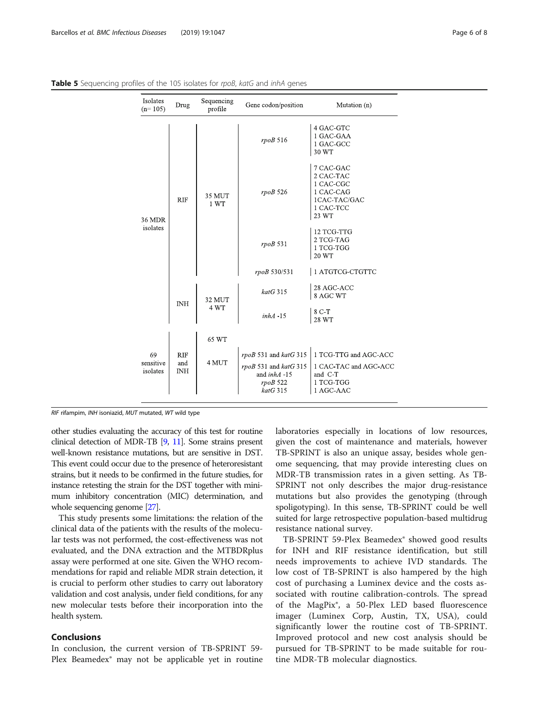| Isolates<br>$(n=105)$       | Drug                            | Sequencing<br>profile | Gene codon/position                                                                        | Mutation (n)                                                                           |
|-----------------------------|---------------------------------|-----------------------|--------------------------------------------------------------------------------------------|----------------------------------------------------------------------------------------|
|                             |                                 |                       | $rpoB$ 516                                                                                 | 4 GAC-GTC<br>1 GAC-GAA<br>1 GAC-GCC<br>30 WT                                           |
| <b>36 MDR</b><br>isolates   | <b>RIF</b>                      | 35 MUT<br>1 WT        | rpoB 526                                                                                   | 7 CAC-GAC<br>2 CAC-TAC<br>1 CAC-CGC<br>1 CAC-CAG<br>1CAC-TAC/GAC<br>1 CAC-TCC<br>23 WT |
|                             |                                 |                       | $rpoB$ 531                                                                                 | 12 TCG-TTG<br>2 TCG-TAG<br>1 TCG-TGG<br>20 WT                                          |
|                             |                                 |                       | rpoB 530/531                                                                               | 1 ATGTCG-CTGTTC                                                                        |
|                             | <b>INH</b>                      | 32 MUT<br>4 WT        | $katG$ 315                                                                                 | 28 AGC-ACC<br>8 AGC WT                                                                 |
|                             |                                 |                       | $inhA - 15$                                                                                | 8 C-T<br>28 WT                                                                         |
|                             |                                 | 65 WT                 |                                                                                            |                                                                                        |
| 69<br>sensitive<br>isolates | <b>RIF</b><br>and<br><b>INH</b> | 4 MUT                 | rpoB 531 and katG 315<br>$rpoB$ 531 and $katG$ 315<br>and inhA -15<br>rpoB 522<br>katG 315 | 1 TCG-TTG and AGC-ACC<br>1 CAC-TAC and AGC-ACC<br>and C-T<br>1 TCG-TGG<br>1 AGC-AAC    |

<span id="page-5-0"></span>Table 5 Sequencing profiles of the 105 isolates for rpoB, katG and inhA genes

RIF rifampim, INH isoniazid, MUT mutated, WT wild type

other studies evaluating the accuracy of this test for routine clinical detection of MDR-TB [\[9,](#page-6-0) [11\]](#page-6-0). Some strains present well-known resistance mutations, but are sensitive in DST. This event could occur due to the presence of heteroresistant strains, but it needs to be confirmed in the future studies, for instance retesting the strain for the DST together with minimum inhibitory concentration (MIC) determination, and whole sequencing genome [\[27](#page-7-0)].

This study presents some limitations: the relation of the clinical data of the patients with the results of the molecular tests was not performed, the cost-effectiveness was not evaluated, and the DNA extraction and the MTBDRplus assay were performed at one site. Given the WHO recommendations for rapid and reliable MDR strain detection, it is crucial to perform other studies to carry out laboratory validation and cost analysis, under field conditions, for any new molecular tests before their incorporation into the health system.

## Conclusions

In conclusion, the current version of TB-SPRINT 59- Plex Beamedex® may not be applicable yet in routine laboratories especially in locations of low resources, given the cost of maintenance and materials, however TB-SPRINT is also an unique assay, besides whole genome sequencing, that may provide interesting clues on MDR-TB transmission rates in a given setting. As TB-SPRINT not only describes the major drug-resistance mutations but also provides the genotyping (through spoligotyping). In this sense, TB-SPRINT could be well suited for large retrospective population-based multidrug resistance national survey.

TB-SPRINT 59-Plex Beamedex® showed good results for INH and RIF resistance identification, but still needs improvements to achieve IVD standards. The low cost of TB-SPRINT is also hampered by the high cost of purchasing a Luminex device and the costs associated with routine calibration-controls. The spread of the MagPix®, a 50-Plex LED based fluorescence imager (Luminex Corp, Austin, TX, USA), could significantly lower the routine cost of TB-SPRINT. Improved protocol and new cost analysis should be pursued for TB-SPRINT to be made suitable for routine MDR-TB molecular diagnostics.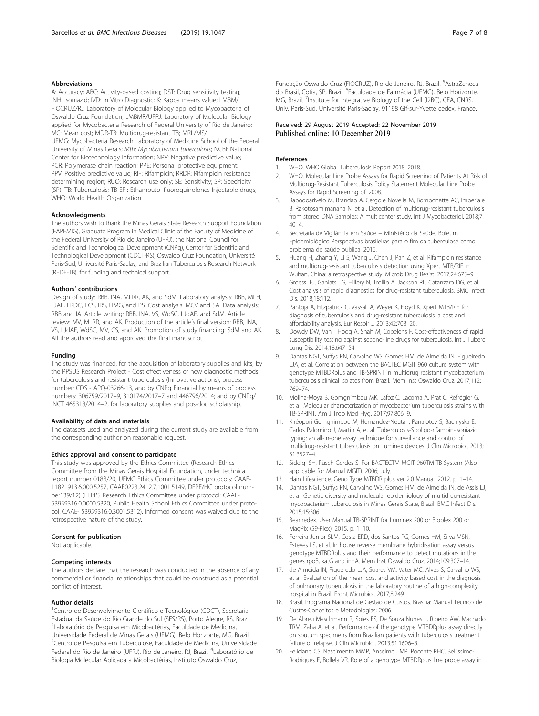#### <span id="page-6-0"></span>Abbreviations

A: Accuracy; ABC: Activity-based costing; DST: Drug sensitivity testing; INH: Isoniazid; IVD: In Vitro Diagnostic; K: Kappa means value; LMBM/ FIOCRUZ/RJ: Laboratory of Molecular Biology applied to Mycobacteria of Oswaldo Cruz Foundation; LMBMR/UFRJ: Laboratory of Molecular Biology applied for Mycobacteria Research of Federal University of Rio de Janeiro; MC: Mean cost; MDR-TB: Multidrug-resistant TB; MRL/MS/ UFMG: Mycobacteria Research Laboratory of Medicine School of the Federal University of Minas Gerais; Mtb: Mycobacterium tuberculosis; NCBI: National Center for Biotechnology Information; NPV: Negative predictive value; PCR: Polymerase chain reaction; PPE: Personal protective equipment: PPV: Positive predictive value; RIF: Rifampicin; RRDR: Rifampicin resistance determining region; RUO: Research use only; SE: Sensitivity; SP: Specificity (SP); TB: Tuberculosis; TB-EFI: Ethambutol-fluoroquinolones-Injectable drugs; WHO: World Health Organization

#### Acknowledgments

The authors wish to thank the Minas Gerais State Research Support Foundation (FAPEMIG), Graduate Program in Medical Clinic of the Faculty of Medicine of the Federal University of Rio de Janeiro (UFRJ), the National Council for Scientific and Technological Development (CNPq), Center for Scientific and Technological Development (CDCT-RS), Oswaldo Cruz Foundation, Université Paris-Sud, Université Paris-Saclay, and Brazilian Tuberculosis Research Network (REDE-TB), for funding and technical support.

#### Authors' contributions

Design of study: RBB, INA, MLRR, AK, and SdM. Laboratory analysis: RBB, MLH, LJAF, ERDC, ECS, IRS, HMG, and PS. Cost analysis: MCV and SA. Data analysis: RBB and IA. Article writing: RBB, INA, VS, WdSC, LJdAF, and SdM. Article review: MV, MLRR, and AK. Production of the article's final version: RBB, INA, VS, LJdAF, WdSC, MV, CS, and AK. Promotion of study financing: SdM and AK. All the authors read and approved the final manuscript.

#### Funding

The study was financed, for the acquisition of laboratory supplies and kits, by the PPSUS Research Project - Cost effectiveness of new diagnostic methods for tuberculosis and resistant tuberculosis (Innovative actions), process number: CDS - APQ-03266-13, and by CNPq Financial by means of process numbers: 306759/2017–9, 310174/2017–7 and 446796/2014; and by CNPq/ INCT 465318/2014–2, for laboratory supplies and pos-doc scholarship.

#### Availability of data and materials

The datasets used and analyzed during the current study are available from the corresponding author on reasonable request.

#### Ethics approval and consent to participate

This study was approved by the Ethics Committee (Research Ethics Committee from the Minas Gerais Hospital Foundation, under technical report number 018B/20, UFMG Ethics Committee under protocols: CAAE-11821913.6.000.5257, CAAE0223.2412.7.1001.5149, DEPE/HC protocol number139/12) (FEPPS Research Ethics Committee under protocol: CAAE-53959316.0.0000.5320, Public Health School Ethics Committee under protocol: CAAE- 53959316.0.3001.5312). Informed consent was waived due to the retrospective nature of the study.

#### Consent for publication

Not applicable.

#### Competing interests

The authors declare that the research was conducted in the absence of any commercial or financial relationships that could be construed as a potential conflict of interest.

#### Author details

<sup>1</sup>Centro de Desenvolvimento Científico e Tecnológico (CDCT), Secretaria Estadual da Saúde do Rio Grande do Sul (SES/RS), Porto Alegre, RS, Brazil. 2 Laboratório de Pesquisa em Micobactérias, Faculdade de Medicina, Universidade Federal de Minas Gerais (UFMG), Belo Horizonte, MG, Brazil. <sup>3</sup>Centro de Pesquisa em Tuberculose, Faculdade de Medicina, Universidade Federal do Rio de Janeiro (UFRJ), Rio de Janeiro, RJ, Brazil. <sup>4</sup>Laboratório de Biologia Molecular Aplicada a Micobactérias, Instituto Oswaldo Cruz,

Fundação Oswaldo Cruz (FIOCRUZ), Rio de Janeiro, RJ, Brazil. <sup>5</sup>AstraZeneca do Brasil, Cotia, SP, Brazil. <sup>6</sup>Faculdade de Farmácia (UFMG), Belo Horizonte, MG, Brazil. <sup>7</sup>Institute for Integrative Biology of the Cell (I2BC), CEA, CNRS, Univ. Paris-Sud, Université Paris-Saclay, 91198 Gif-sur-Yvette cedex, France.

#### Received: 29 August 2019 Accepted: 22 November 2019 Published online: 10 December 2019

#### References

- 1. WHO. WHO Global Tuberculosis Report 2018. 2018.
- 2. WHO. Molecular Line Probe Assays for Rapid Screening of Patients At Risk of Multidrug-Resistant Tuberculosis Policy Statement Molecular Line Probe Assays for Rapid Screening of. 2008.
- 3. Rabodoarivelo M, Brandao A, Cergole Novella M, Bombonatte AC, Imperiale B, Rakotosamimanana N, et al. Detection of multidrug-resistant tuberculosis from stored DNA Samples: A multicenter study. Int J Mycobacteriol. 2018;7:  $40 - 4$
- 4. Secretaria de Vigilância em Saúde − Ministério da Saúde. Boletim Epidemiológico Perspectivas brasileiras para o fim da tuberculose como problema de saúde pública. 2016.
- 5. Huang H, Zhang Y, Li S, Wang J, Chen J, Pan Z, et al. Rifampicin resistance and multidrug-resistant tuberculosis detection using Xpert MTB/RIF in Wuhan, China: a retrospective study. Microb Drug Resist. 2017;24:675–9.
- 6. Groessl EJ, Ganiats TG, Hillery N, Trollip A, Jackson RL, Catanzaro DG, et al. Cost analysis of rapid diagnostics for drug-resistant tuberculosis. BMC Infect Dis. 2018:18:112.
- 7. Pantoja A, Fitzpatrick C, Vassall A, Weyer K, Floyd K. Xpert MTB/RIF for diagnosis of tuberculosis and drug-resistant tuberculosis: a cost and affordability analysis. Eur Respir J. 2013;42:708–20.
- 8. Dowdy DW, Van'T Hoog A, Shah M, Cobelens F. Cost-effectiveness of rapid susceptibility testing against second-line drugs for tuberculosis. Int J Tuberc Lung Dis. 2014;18:647–54.
- 9. Dantas NGT, Suffys PN, Carvalho WS, Gomes HM, de Almeida IN, Figueiredo LJA, et al. Correlation between the BACTEC MGIT 960 culture system with genotype MTBDRplus and TB-SPRINT in multidrug resistant mycobacterium tuberculosis clinical isolates from Brazil. Mem Inst Oswaldo Cruz. 2017;112: 769–74.
- 10. Molina-Moya B, Gomgnimbou MK, Lafoz C, Lacoma A, Prat C, Refrégier G, et al. Molecular characterization of mycobacterium tuberculosis strains with TB-SPRINT. Am J Trop Med Hyg. 2017;97:806–9.
- 11. Kiréopori Gomgnimbou M, Hernandez-Neuta I, Panaiotov S, Bachiyska E, Carlos Palomino J, Martin A, et al. Tuberculosis-Spoligo-rifampin-isoniazid typing: an all-in-one assay technique for surveillance and control of multidrug-resistant tuberculosis on Luminex devices. J Clin Microbiol. 2013; 51:3527–4.
- 12. Siddiqi SH, Rüsch-Gerdes S. For BACTECTM MGIT 960TM TB System (Also applicable for Manual MGIT). 2006; July.
- 13. Hain Lifescience. Geno Type MTBDR plus ver 2.0 Manual; 2012. p. 1–14.
- 14. Dantas NGT, Suffys PN, Carvalho WS, Gomes HM, de Almeida IN, de Assis LJ, et al. Genetic diversity and molecular epidemiology of multidrug-resistant mycobacterium tuberculosis in Minas Gerais State, Brazil. BMC Infect Dis. 2015;15:306.
- 15. Beamedex. User Manual TB-SPRINT for Luminex 200 or Bioplex 200 or MagPix (59-Plex); 2015. p. 1–10.
- 16. Ferreira Junior SLM, Costa ERD, dos Santos PG, Gomes HM, Silva MSN, Esteves LS, et al. In house reverse membrane hybridisation assay versus genotype MTBDRplus and their performance to detect mutations in the genes rpoB, katG and inhA. Mem Inst Oswaldo Cruz. 2014;109:307–14.
- 17. de Almeida IN, Figueredo LJA, Soares VM, Vater MC, Alves S, Carvalho WS, et al. Evaluation of the mean cost and activity based cost in the diagnosis of pulmonary tuberculosis in the laboratory routine of a high-complexity hospital in Brazil. Front Microbiol. 2017;8:249.
- 18. Brasil. Programa Nacional de Gestão de Custos. Brasília: Manual Técnico de Custos-Conceitos e Metodologias; 2006.
- 19. De Abreu Maschmann R, Spies FS, De Souza Nunes L, Ribeiro AW, Machado TRM, Zaha A, et al. Performance of the genotype MTBDRplus assay directly on sputum specimens from Brazilian patients with tuberculosis treatment failure or relapse. J Clin Microbiol. 2013;51:1606–8.
- 20. Feliciano CS, Nascimento MMP, Anselmo LMP, Pocente RHC, Bellissimo-Rodrigues F, Bollela VR. Role of a genotype MTBDRplus line probe assay in